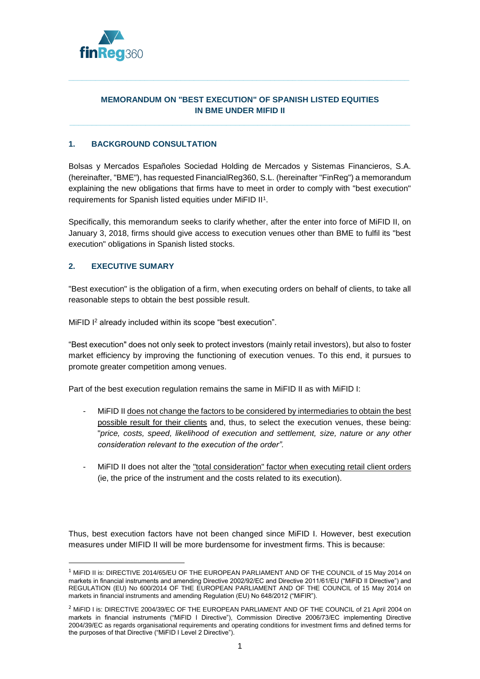

# **MEMORANDUM ON "BEST EXECUTION" OF SPANISH LISTED EQUITIES IN BME UNDER MIFID II**

**\_\_\_\_\_\_\_\_\_\_\_\_\_\_\_\_\_\_\_\_\_\_\_\_\_\_\_\_\_\_\_\_\_\_\_\_\_\_\_\_\_\_\_\_\_\_\_\_\_\_\_\_\_\_\_\_\_\_\_\_\_\_\_\_\_\_\_\_\_\_\_\_\_\_\_\_**

**\_\_\_\_\_\_\_\_\_\_\_\_\_\_\_\_\_\_\_\_\_\_\_\_\_\_\_\_\_\_\_\_\_\_\_\_\_\_\_\_\_\_\_\_\_\_\_\_\_\_\_\_\_\_\_\_\_\_\_\_\_\_\_\_\_\_\_\_\_\_\_\_\_\_\_\_**

#### **1. BACKGROUND CONSULTATION**

Bolsas y Mercados Españoles Sociedad Holding de Mercados y Sistemas Financieros, S.A. (hereinafter, "BME"), has requested FinancialReg360, S.L. (hereinafter "FinReg") a memorandum explaining the new obligations that firms have to meet in order to comply with "best execution" requirements for Spanish listed equities under MiFID II<sup>1</sup>.

Specifically, this memorandum seeks to clarify whether, after the enter into force of MiFID II, on January 3, 2018, firms should give access to execution venues other than BME to fulfil its "best execution" obligations in Spanish listed stocks.

## **2. EXECUTIVE SUMARY**

**.** 

"Best execution" is the obligation of a firm, when executing orders on behalf of clients, to take all reasonable steps to obtain the best possible result.

MiFID I<sup>2</sup> already included within its scope "best execution".

"Best execution" does not only seek to protect investors (mainly retail investors), but also to foster market efficiency by improving the functioning of execution venues. To this end, it pursues to promote greater competition among venues.

Part of the best execution regulation remains the same in MiFID II as with MiFID I:

- MiFID II does not change the factors to be considered by intermediaries to obtain the best possible result for their clients and, thus, to select the execution venues, these being: "*price, costs, speed, likelihood of execution and settlement, size, nature or any other consideration relevant to the execution of the order".*
- MiFID II does not alter the "total consideration" factor when executing retail client orders (ie, the price of the instrument and the costs related to its execution).

Thus, best execution factors have not been changed since MiFID I. However, best execution measures under MIFID II will be more burdensome for investment firms. This is because:

<sup>&</sup>lt;sup>1</sup> MiFID II is: DIRECTIVE 2014/65/EU OF THE EUROPEAN PARLIAMENT AND OF THE COUNCIL of 15 May 2014 on markets in financial instruments and amending Directive 2002/92/EC and Directive 2011/61/EU ("MiFID II Directive") and REGULATION (EU) No 600/2014 OF THE EUROPEAN PARLIAMENT AND OF THE COUNCIL of 15 May 2014 on markets in financial instruments and amending Regulation (EU) No 648/2012 ("MiFIR").

<sup>&</sup>lt;sup>2</sup> MiFID I is: DIRECTIVE 2004/39/EC OF THE EUROPEAN PARLIAMENT AND OF THE COUNCIL of 21 April 2004 on markets in financial instruments ("MiFID I Directive"), Commission Directive 2006/73/EC implementing Directive 2004/39/EC as regards organisational requirements and operating conditions for investment firms and defined terms for the purposes of that Directive ("MiFID I Level 2 Directive").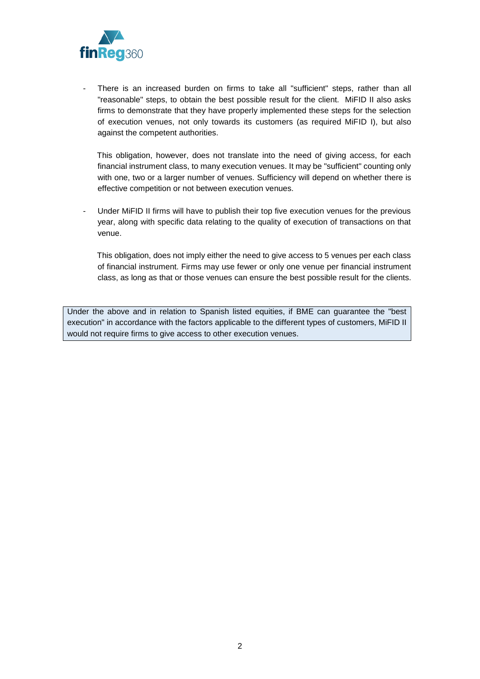

There is an increased burden on firms to take all "sufficient" steps, rather than all "reasonable" steps, to obtain the best possible result for the client. MiFID II also asks firms to demonstrate that they have properly implemented these steps for the selection of execution venues, not only towards its customers (as required MiFID I), but also against the competent authorities.

This obligation, however, does not translate into the need of giving access, for each financial instrument class, to many execution venues. It may be "sufficient" counting only with one, two or a larger number of venues. Sufficiency will depend on whether there is effective competition or not between execution venues.

Under MiFID II firms will have to publish their top five execution venues for the previous year, along with specific data relating to the quality of execution of transactions on that venue.

This obligation, does not imply either the need to give access to 5 venues per each class of financial instrument. Firms may use fewer or only one venue per financial instrument class, as long as that or those venues can ensure the best possible result for the clients.

Under the above and in relation to Spanish listed equities, if BME can guarantee the "best execution" in accordance with the factors applicable to the different types of customers, MiFID II would not require firms to give access to other execution venues.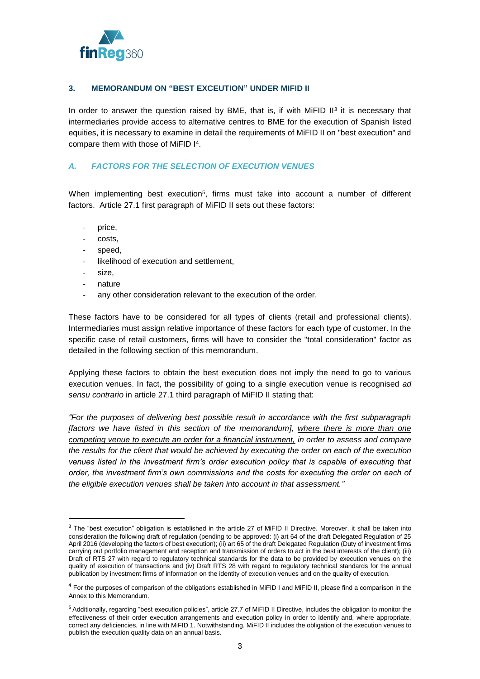

#### **3. MEMORANDUM ON "BEST EXCEUTION" UNDER MIFID II**

In order to answer the question raised by BME, that is, if with MiFID  $II^3$  it is necessary that intermediaries provide access to alternative centres to BME for the execution of Spanish listed equities, it is necessary to examine in detail the requirements of MiFID II on "best execution" and compare them with those of MiFID I<sup>4</sup>.

## *A. FACTORS FOR THE SELECTION OF EXECUTION VENUES*

When implementing best execution<sup>5</sup>, firms must take into account a number of different factors. Article 27.1 first paragraph of MiFID II sets out these factors:

- price,
- costs,
- speed,
- likelihood of execution and settlement,
- size,

**.** 

- nature
- any other consideration relevant to the execution of the order.

These factors have to be considered for all types of clients (retail and professional clients). Intermediaries must assign relative importance of these factors for each type of customer. In the specific case of retail customers, firms will have to consider the "total consideration" factor as detailed in the following section of this memorandum.

Applying these factors to obtain the best execution does not imply the need to go to various execution venues. In fact, the possibility of going to a single execution venue is recognised *ad sensu contrario* in article 27.1 third paragraph of MiFID II stating that:

*"For the purposes of delivering best possible result in accordance with the first subparagraph [factors we have listed in this section of the memorandum], where there is more than one competing venue to execute an order for a financial instrument, in order to assess and compare the results for the client that would be achieved by executing the order on each of the execution venues listed in the investment firm's order execution policy that is capable of executing that order, the investment firm's own commissions and the costs for executing the order on each of the eligible execution venues shall be taken into account in that assessment."*

 $3$  The "best execution" obligation is established in the article 27 of MiFID II Directive. Moreover, it shall be taken into consideration the following draft of regulation (pending to be approved: (i) art 64 of the draft Delegated Regulation of 25 April 2016 (developing the factors of best execution); (ii) art 65 of the draft Delegated Regulation (Duty of investment firms carrying out portfolio management and reception and transmission of orders to act in the best interests of the client); (iii) Draft of RTS 27 with regard to regulatory technical standards for the data to be provided by execution venues on the quality of execution of transactions and (iv) Draft RTS 28 with regard to regulatory technical standards for the annual publication by investment firms of information on the identity of execution venues and on the quality of execution.

<sup>&</sup>lt;sup>4</sup> For the purposes of comparison of the obligations established in MiFID I and MiFID II, please find a comparison in the Annex to this Memorandum.

<sup>5</sup> Additionally, regarding "best execution policies", article 27.7 of MiFID II Directive, includes the obligation to monitor the effectiveness of their order execution arrangements and execution policy in order to identify and, where appropriate, correct any deficiencies, in line with MiFID 1. Notwithstanding, MiFID II includes the obligation of the execution venues to publish the execution quality data on an annual basis.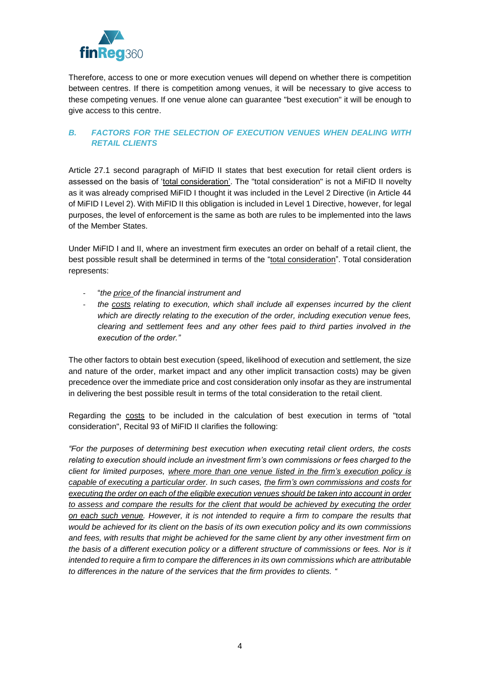

Therefore, access to one or more execution venues will depend on whether there is competition between centres. If there is competition among venues, it will be necessary to give access to these competing venues. If one venue alone can guarantee "best execution" it will be enough to give access to this centre.

## *B. FACTORS FOR THE SELECTION OF EXECUTION VENUES WHEN DEALING WITH RETAIL CLIENTS*

Article 27.1 second paragraph of MiFID II states that best execution for retail client orders is assessed on the basis of 'total consideration'. The "total consideration" is not a MiFID II novelty as it was already comprised MiFID I thought it was included in the Level 2 Directive (in Article 44 of MiFID I Level 2). With MiFID II this obligation is included in Level 1 Directive, however, for legal purposes, the level of enforcement is the same as both are rules to be implemented into the laws of the Member States.

Under MiFID I and II, where an investment firm executes an order on behalf of a retail client, the best possible result shall be determined in terms of the "total consideration". Total consideration represents:

- "*the price of the financial instrument and*
- *the costs relating to execution, which shall include all expenses incurred by the client which are directly relating to the execution of the order, including execution venue fees, clearing and settlement fees and any other fees paid to third parties involved in the execution of the order."*

The other factors to obtain best execution (speed, likelihood of execution and settlement, the size and nature of the order, market impact and any other implicit transaction costs) may be given precedence over the immediate price and cost consideration only insofar as they are instrumental in delivering the best possible result in terms of the total consideration to the retail client.

Regarding the costs to be included in the calculation of best execution in terms of "total consideration", Recital 93 of MiFID II clarifies the following:

*"For the purposes of determining best execution when executing retail client orders, the costs relating to execution should include an investment firm's own commissions or fees charged to the client for limited purposes, where more than one venue listed in the firm's execution policy is capable of executing a particular order. In such cases, the firm's own commissions and costs for executing the order on each of the eligible execution venues should be taken into account in order to assess and compare the results for the client that would be achieved by executing the order on each such venue. However, it is not intended to require a firm to compare the results that would be achieved for its client on the basis of its own execution policy and its own commissions and fees, with results that might be achieved for the same client by any other investment firm on the basis of a different execution policy or a different structure of commissions or fees. Nor is it intended to require a firm to compare the differences in its own commissions which are attributable to differences in the nature of the services that the firm provides to clients. "*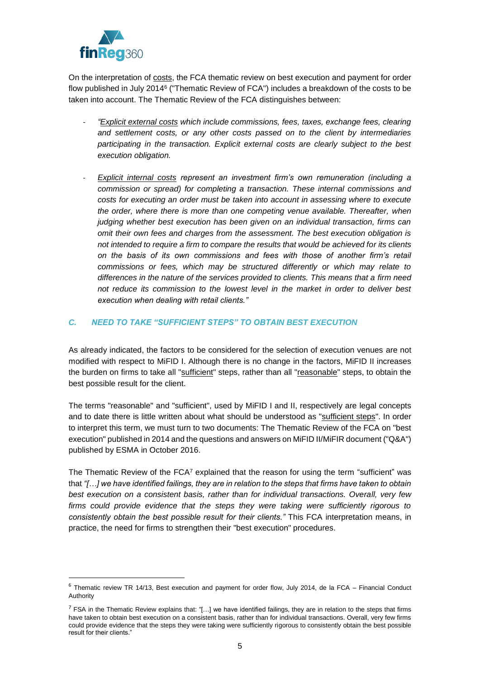

**.** 

On the interpretation of costs, the FCA thematic review on best execution and payment for order flow published in July 2014<sup>6</sup> ("Thematic Review of FCA") includes a breakdown of the costs to be taken into account. The Thematic Review of the FCA distinguishes between:

- *"Explicit external costs which include commissions, fees, taxes, exchange fees, clearing and settlement costs, or any other costs passed on to the client by intermediaries participating in the transaction. Explicit external costs are clearly subject to the best execution obligation.*
- *Explicit internal costs represent an investment firm's own remuneration (including a commission or spread) for completing a transaction. These internal commissions and costs for executing an order must be taken into account in assessing where to execute the order, where there is more than one competing venue available. Thereafter, when judging whether best execution has been given on an individual transaction, firms can omit their own fees and charges from the assessment. The best execution obligation is not intended to require a firm to compare the results that would be achieved for its clients on the basis of its own commissions and fees with those of another firm's retail commissions or fees, which may be structured differently or which may relate to differences in the nature of the services provided to clients. This means that a firm need not reduce its commission to the lowest level in the market in order to deliver best execution when dealing with retail clients."*

## *C. NEED TO TAKE "SUFFICIENT STEPS" TO OBTAIN BEST EXECUTION*

As already indicated, the factors to be considered for the selection of execution venues are not modified with respect to MiFID I. Although there is no change in the factors, MiFID II increases the burden on firms to take all "sufficient" steps, rather than all "reasonable" steps, to obtain the best possible result for the client.

The terms "reasonable" and "sufficient", used by MiFID I and II, respectively are legal concepts and to date there is little written about what should be understood as "sufficient steps". In order to interpret this term, we must turn to two documents: The Thematic Review of the FCA on "best execution" published in 2014 and the questions and answers on MiFID II/MiFIR document ("Q&A") published by ESMA in October 2016.

The Thematic Review of the FCA<sup>7</sup> explained that the reason for using the term "sufficient" was that *"[…] we have identified failings, they are in relation to the steps that firms have taken to obtain best execution on a consistent basis, rather than for individual transactions. Overall, very few firms could provide evidence that the steps they were taking were sufficiently rigorous to consistently obtain the best possible result for their clients."* This FCA interpretation means, in practice, the need for firms to strengthen their "best execution" procedures.

<sup>6</sup> Thematic review TR 14/13, Best execution and payment for order flow, July 2014, de la FCA – Financial Conduct Authority

 $<sup>7</sup>$  FSA in the Thematic Review explains that: "[...] we have identified failings, they are in relation to the steps that firms</sup> have taken to obtain best execution on a consistent basis, rather than for individual transactions. Overall, very few firms could provide evidence that the steps they were taking were sufficiently rigorous to consistently obtain the best possible result for their clients."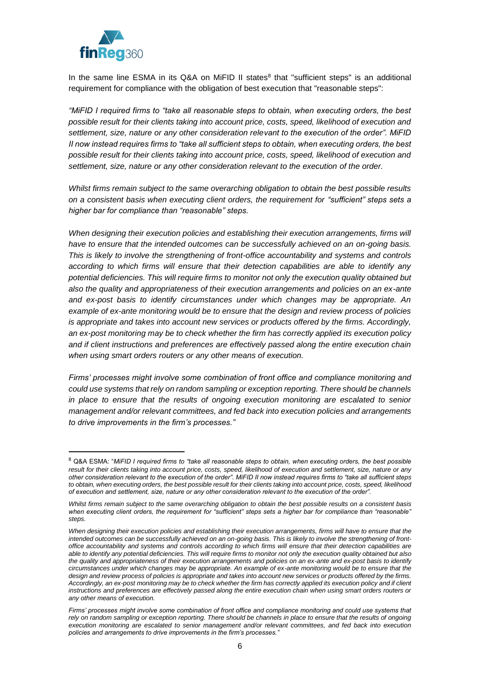

 $\overline{a}$ 

In the same line ESMA in its  $Q&A$  on MiFID II states $^8$  that "sufficient steps" is an additional requirement for compliance with the obligation of best execution that "reasonable steps":

*"MiFID I required firms to "take all reasonable steps to obtain, when executing orders, the best possible result for their clients taking into account price, costs, speed, likelihood of execution and settlement, size, nature or any other consideration relevant to the execution of the order". MiFID II now instead requires firms to "take all sufficient steps to obtain, when executing orders, the best possible result for their clients taking into account price, costs, speed, likelihood of execution and settlement, size, nature or any other consideration relevant to the execution of the order.*

*Whilst firms remain subject to the same overarching obligation to obtain the best possible results on a consistent basis when executing client orders, the requirement for "sufficient" steps sets a higher bar for compliance than "reasonable" steps.*

*When designing their execution policies and establishing their execution arrangements, firms will have to ensure that the intended outcomes can be successfully achieved on an on-going basis. This is likely to involve the strengthening of front-office accountability and systems and controls according to which firms will ensure that their detection capabilities are able to identify any potential deficiencies. This will require firms to monitor not only the execution quality obtained but also the quality and appropriateness of their execution arrangements and policies on an ex-ante and ex-post basis to identify circumstances under which changes may be appropriate. An example of ex-ante monitoring would be to ensure that the design and review process of policies is appropriate and takes into account new services or products offered by the firms. Accordingly, an ex-post monitoring may be to check whether the firm has correctly applied its execution policy and if client instructions and preferences are effectively passed along the entire execution chain when using smart orders routers or any other means of execution.*

*Firms' processes might involve some combination of front office and compliance monitoring and could use systems that rely on random sampling or exception reporting. There should be channels in place to ensure that the results of ongoing execution monitoring are escalated to senior management and/or relevant committees, and fed back into execution policies and arrangements to drive improvements in the firm's processes."*

<sup>8</sup> Q&A ESMA: "*MiFID I required firms to "take all reasonable steps to obtain, when executing orders, the best possible result for their clients taking into account price, costs, speed, likelihood of execution and settlement, size, nature or any other consideration relevant to the execution of the order". MiFID II now instead requires firms to "take all sufficient steps to obtain, when executing orders, the best possible result for their clients taking into account price, costs, speed, likelihood of execution and settlement, size, nature or any other consideration relevant to the execution of the order".*

*Whilst firms remain subject to the same overarching obligation to obtain the best possible results on a consistent basis when executing client orders, the requirement for "sufficient" steps sets a higher bar for compliance than "reasonable" steps.*

*When designing their execution policies and establishing their execution arrangements, firms will have to ensure that the intended outcomes can be successfully achieved on an on-going basis. This is likely to involve the strengthening of frontoffice accountability and systems and controls according to which firms will ensure that their detection capabilities are able to identify any potential deficiencies. This will require firms to monitor not only the execution quality obtained but also the quality and appropriateness of their execution arrangements and policies on an ex-ante and ex-post basis to identify circumstances under which changes may be appropriate. An example of ex-ante monitoring would be to ensure that the design and review process of policies is appropriate and takes into account new services or products offered by the firms. Accordingly, an ex-post monitoring may be to check whether the firm has correctly applied its execution policy and if client instructions and preferences are effectively passed along the entire execution chain when using smart orders routers or any other means of execution.*

Firms' processes might involve some combination of front office and compliance monitoring and could use systems that *rely on random sampling or exception reporting. There should be channels in place to ensure that the results of ongoing execution monitoring are escalated to senior management and/or relevant committees, and fed back into execution policies and arrangements to drive improvements in the firm's processes."*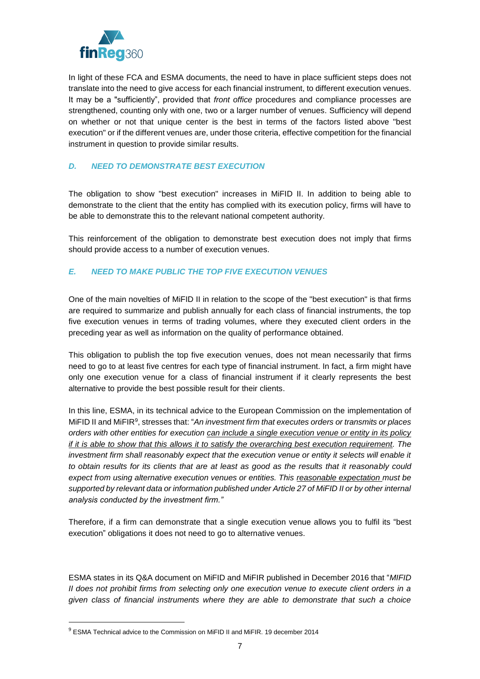

In light of these FCA and ESMA documents, the need to have in place sufficient steps does not translate into the need to give access for each financial instrument, to different execution venues. It may be a "sufficiently", provided that *front office* procedures and compliance processes are strengthened, counting only with one, two or a larger number of venues. Sufficiency will depend on whether or not that unique center is the best in terms of the factors listed above "best execution" or if the different venues are, under those criteria, effective competition for the financial instrument in question to provide similar results.

## *D. NEED TO DEMONSTRATE BEST EXECUTION*

The obligation to show "best execution" increases in MiFID II. In addition to being able to demonstrate to the client that the entity has complied with its execution policy, firms will have to be able to demonstrate this to the relevant national competent authority.

This reinforcement of the obligation to demonstrate best execution does not imply that firms should provide access to a number of execution venues.

#### *E. NEED TO MAKE PUBLIC THE TOP FIVE EXECUTION VENUES*

One of the main novelties of MiFID II in relation to the scope of the "best execution" is that firms are required to summarize and publish annually for each class of financial instruments, the top five execution venues in terms of trading volumes, where they executed client orders in the preceding year as well as information on the quality of performance obtained.

This obligation to publish the top five execution venues, does not mean necessarily that firms need to go to at least five centres for each type of financial instrument. In fact, a firm might have only one execution venue for a class of financial instrument if it clearly represents the best alternative to provide the best possible result for their clients.

In this line, ESMA, in its technical advice to the European Commission on the implementation of MiFID II and MiFIR<sup>9</sup>, stresses that: "An investment firm that executes orders or transmits or places *orders with other entities for execution can include a single execution venue or entity in its policy if it is able to show that this allows it to satisfy the overarching best execution requirement. The investment firm shall reasonably expect that the execution venue or entity it selects will enable it to obtain results for its clients that are at least as good as the results that it reasonably could expect from using alternative execution venues or entities. This reasonable expectation must be supported by relevant data or information published under Article 27 of MiFID II or by other internal analysis conducted by the investment firm."* 

Therefore, if a firm can demonstrate that a single execution venue allows you to fulfil its "best execution" obligations it does not need to go to alternative venues.

ESMA states in its Q&A document on MiFID and MiFIR published in December 2016 that "*MIFID II does not prohibit firms from selecting only one execution venue to execute client orders in a given class of financial instruments where they are able to demonstrate that such a choice* 

**.** 

 $9$  ESMA Technical advice to the Commission on MiFID II and MiFIR. 19 december 2014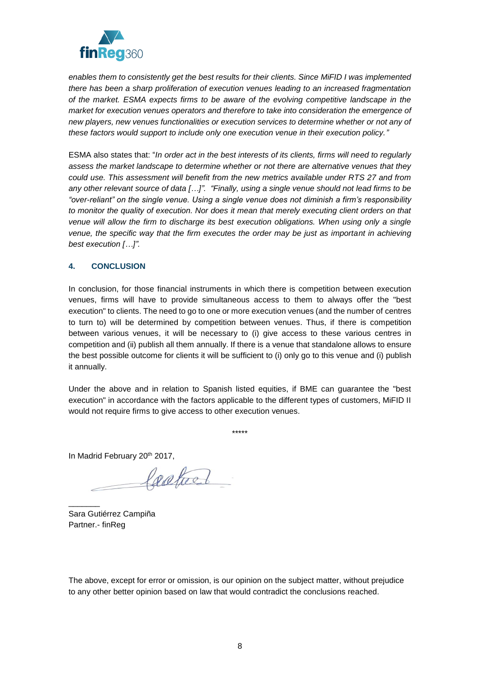

*enables them to consistently get the best results for their clients. Since MiFID I was implemented there has been a sharp proliferation of execution venues leading to an increased fragmentation of the market. ESMA expects firms to be aware of the evolving competitive landscape in the market for execution venues operators and therefore to take into consideration the emergence of new players, new venues functionalities or execution services to determine whether or not any of these factors would support to include only one execution venue in their execution policy."*

ESMA also states that: "*In order act in the best interests of its clients, firms will need to regularly assess the market landscape to determine whether or not there are alternative venues that they could use. This assessment will benefit from the new metrics available under RTS 27 and from any other relevant source of data […]". "Finally, using a single venue should not lead firms to be "over-reliant" on the single venue. Using a single venue does not diminish a firm's responsibility to monitor the quality of execution. Nor does it mean that merely executing client orders on that venue will allow the firm to discharge its best execution obligations. When using only a single venue, the specific way that the firm executes the order may be just as important in achieving best execution […]".*

## **4. CONCLUSION**

In conclusion, for those financial instruments in which there is competition between execution venues, firms will have to provide simultaneous access to them to always offer the "best execution" to clients. The need to go to one or more execution venues (and the number of centres to turn to) will be determined by competition between venues. Thus, if there is competition between various venues, it will be necessary to (i) give access to these various centres in competition and (ii) publish all them annually. If there is a venue that standalone allows to ensure the best possible outcome for clients it will be sufficient to (i) only go to this venue and (i) publish it annually.

Under the above and in relation to Spanish listed equities, if BME can guarantee the "best execution" in accordance with the factors applicable to the different types of customers, MiFID II would not require firms to give access to other execution venues.

\*\*\*\*\*

In Madrid February 20th 2017,

lached

Sara Gutiérrez Campiña Partner.- finReg

 $\overline{\phantom{a}}$ 

The above, except for error or omission, is our opinion on the subject matter, without prejudice to any other better opinion based on law that would contradict the conclusions reached.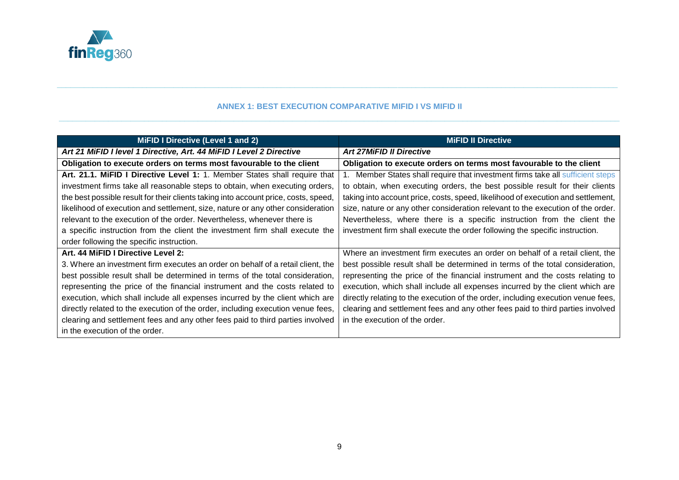

# **ANNEX 1: BEST EXECUTION COMPARATIVE MIFID I VS MIFID II \_\_\_\_\_\_\_\_\_\_\_\_\_\_\_\_\_\_\_\_\_\_\_\_\_\_\_\_\_\_\_\_\_\_\_\_\_\_\_\_\_\_\_\_\_\_\_\_\_\_\_\_\_\_\_\_\_\_\_\_\_\_\_\_\_\_\_\_\_\_\_\_\_\_\_\_\_\_\_\_\_\_\_\_\_\_\_\_\_\_\_\_\_\_\_\_\_\_\_\_\_\_\_\_\_\_\_\_\_\_\_\_\_\_\_\_\_\_\_\_\_\_\_\_\_**

**\_\_\_\_\_\_\_\_\_\_\_\_\_\_\_\_\_\_\_\_\_\_\_\_\_\_\_\_\_\_\_\_\_\_\_\_\_\_\_\_\_\_\_\_\_\_\_\_\_\_\_\_\_\_\_\_\_\_\_\_\_\_\_\_\_\_\_\_\_\_\_\_\_\_\_\_\_\_\_\_\_\_\_\_\_\_\_\_\_\_\_\_\_\_\_\_\_\_\_\_\_\_\_\_\_\_\_\_\_\_\_\_\_\_\_\_\_\_\_\_\_\_\_\_\_**

| MiFID I Directive (Level 1 and 2)                                                   | <b>MiFID II Directive</b>                                                         |
|-------------------------------------------------------------------------------------|-----------------------------------------------------------------------------------|
| Art 21 MiFID I level 1 Directive, Art. 44 MiFID I Level 2 Directive                 | <b>Art 27MiFID II Directive</b>                                                   |
| Obligation to execute orders on terms most favourable to the client                 | Obligation to execute orders on terms most favourable to the client               |
| Art. 21.1. MiFID I Directive Level 1: 1. Member States shall require that           | Member States shall require that investment firms take all sufficient steps<br>1. |
| investment firms take all reasonable steps to obtain, when executing orders,        | to obtain, when executing orders, the best possible result for their clients      |
| the best possible result for their clients taking into account price, costs, speed, | taking into account price, costs, speed, likelihood of execution and settlement,  |
| likelihood of execution and settlement, size, nature or any other consideration     | size, nature or any other consideration relevant to the execution of the order.   |
| relevant to the execution of the order. Nevertheless, whenever there is             | Nevertheless, where there is a specific instruction from the client the           |
| a specific instruction from the client the investment firm shall execute the        | investment firm shall execute the order following the specific instruction.       |
| order following the specific instruction.                                           |                                                                                   |
| Art. 44 MiFID I Directive Level 2:                                                  | Where an investment firm executes an order on behalf of a retail client, the      |
| 3. Where an investment firm executes an order on behalf of a retail client, the     | best possible result shall be determined in terms of the total consideration,     |
| best possible result shall be determined in terms of the total consideration,       | representing the price of the financial instrument and the costs relating to      |
| representing the price of the financial instrument and the costs related to         | execution, which shall include all expenses incurred by the client which are      |
| execution, which shall include all expenses incurred by the client which are        | directly relating to the execution of the order, including execution venue fees,  |
| directly related to the execution of the order, including execution venue fees,     | clearing and settlement fees and any other fees paid to third parties involved    |
| clearing and settlement fees and any other fees paid to third parties involved      | in the execution of the order.                                                    |
| in the execution of the order.                                                      |                                                                                   |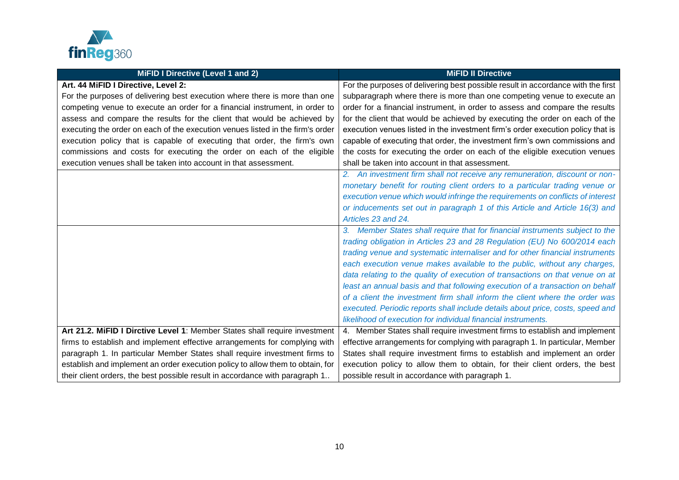

| MiFID I Directive (Level 1 and 2)                                              | <b>MiFID II Directive</b>                                                        |
|--------------------------------------------------------------------------------|----------------------------------------------------------------------------------|
| Art. 44 MiFID I Directive, Level 2:                                            | For the purposes of delivering best possible result in accordance with the first |
| For the purposes of delivering best execution where there is more than one     | subparagraph where there is more than one competing venue to execute an          |
| competing venue to execute an order for a financial instrument, in order to    | order for a financial instrument, in order to assess and compare the results     |
| assess and compare the results for the client that would be achieved by        | for the client that would be achieved by executing the order on each of the      |
| executing the order on each of the execution venues listed in the firm's order | execution venues listed in the investment firm's order execution policy that is  |
| execution policy that is capable of executing that order, the firm's own       | capable of executing that order, the investment firm's own commissions and       |
| commissions and costs for executing the order on each of the eligible          | the costs for executing the order on each of the eligible execution venues       |
| execution venues shall be taken into account in that assessment.               | shall be taken into account in that assessment.                                  |
|                                                                                | 2. An investment firm shall not receive any remuneration, discount or non-       |
|                                                                                | monetary benefit for routing client orders to a particular trading venue or      |
|                                                                                | execution venue which would infringe the requirements on conflicts of interest   |
|                                                                                | or inducements set out in paragraph 1 of this Article and Article 16(3) and      |
|                                                                                | Articles 23 and 24.                                                              |
|                                                                                | Member States shall require that for financial instruments subject to the<br>3.  |
|                                                                                | trading obligation in Articles 23 and 28 Regulation (EU) No 600/2014 each        |
|                                                                                | trading venue and systematic internaliser and for other financial instruments    |
|                                                                                | each execution venue makes available to the public, without any charges,         |
|                                                                                | data relating to the quality of execution of transactions on that venue on at    |
|                                                                                | least an annual basis and that following execution of a transaction on behalf    |
|                                                                                | of a client the investment firm shall inform the client where the order was      |
|                                                                                | executed. Periodic reports shall include details about price, costs, speed and   |
|                                                                                | likelihood of execution for individual financial instruments.                    |
| Art 21.2. MiFID I Dirctive Level 1: Member States shall require investment     | 4. Member States shall require investment firms to establish and implement       |
| firms to establish and implement effective arrangements for complying with     | effective arrangements for complying with paragraph 1. In particular, Member     |
| paragraph 1. In particular Member States shall require investment firms to     | States shall require investment firms to establish and implement an order        |
| establish and implement an order execution policy to allow them to obtain, for | execution policy to allow them to obtain, for their client orders, the best      |
| their client orders, the best possible result in accordance with paragraph 1   | possible result in accordance with paragraph 1.                                  |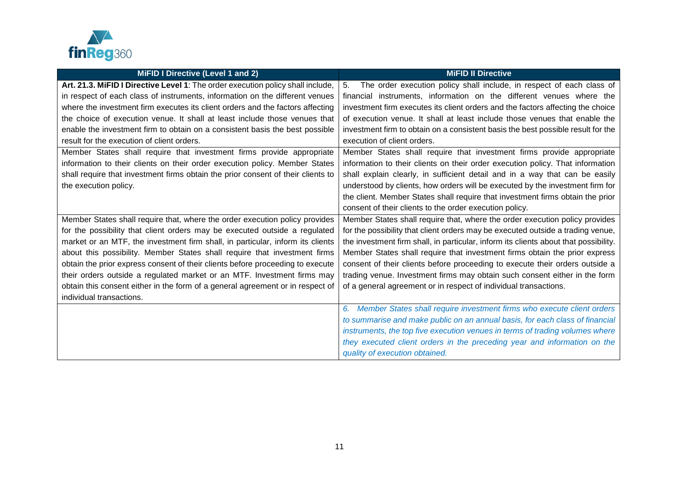

| <b>MiFID I Directive (Level 1 and 2)</b>                                         | <b>MiFID II Directive</b>                                                            |
|----------------------------------------------------------------------------------|--------------------------------------------------------------------------------------|
| Art. 21.3. MiFID I Directive Level 1: The order execution policy shall include,  | The order execution policy shall include, in respect of each class of<br>5.          |
| in respect of each class of instruments, information on the different venues     | financial instruments, information on the different venues where the                 |
| where the investment firm executes its client orders and the factors affecting   | investment firm executes its client orders and the factors affecting the choice      |
| the choice of execution venue. It shall at least include those venues that       | of execution venue. It shall at least include those venues that enable the           |
| enable the investment firm to obtain on a consistent basis the best possible     | investment firm to obtain on a consistent basis the best possible result for the     |
| result for the execution of client orders.                                       | execution of client orders.                                                          |
| Member States shall require that investment firms provide appropriate            | Member States shall require that investment firms provide appropriate                |
| information to their clients on their order execution policy. Member States      | information to their clients on their order execution policy. That information       |
| shall require that investment firms obtain the prior consent of their clients to | shall explain clearly, in sufficient detail and in a way that can be easily          |
| the execution policy.                                                            | understood by clients, how orders will be executed by the investment firm for        |
|                                                                                  | the client. Member States shall require that investment firms obtain the prior       |
|                                                                                  | consent of their clients to the order execution policy.                              |
| Member States shall require that, where the order execution policy provides      | Member States shall require that, where the order execution policy provides          |
| for the possibility that client orders may be executed outside a regulated       | for the possibility that client orders may be executed outside a trading venue,      |
| market or an MTF, the investment firm shall, in particular, inform its clients   | the investment firm shall, in particular, inform its clients about that possibility. |
| about this possibility. Member States shall require that investment firms        | Member States shall require that investment firms obtain the prior express           |
| obtain the prior express consent of their clients before proceeding to execute   | consent of their clients before proceeding to execute their orders outside a         |
| their orders outside a regulated market or an MTF. Investment firms may          | trading venue. Investment firms may obtain such consent either in the form           |
| obtain this consent either in the form of a general agreement or in respect of   | of a general agreement or in respect of individual transactions.                     |
| individual transactions.                                                         |                                                                                      |
|                                                                                  | Member States shall require investment firms who execute client orders<br>6.         |
|                                                                                  | to summarise and make public on an annual basis, for each class of financial         |
|                                                                                  | instruments, the top five execution venues in terms of trading volumes where         |
|                                                                                  | they executed client orders in the preceding year and information on the             |
|                                                                                  | quality of execution obtained.                                                       |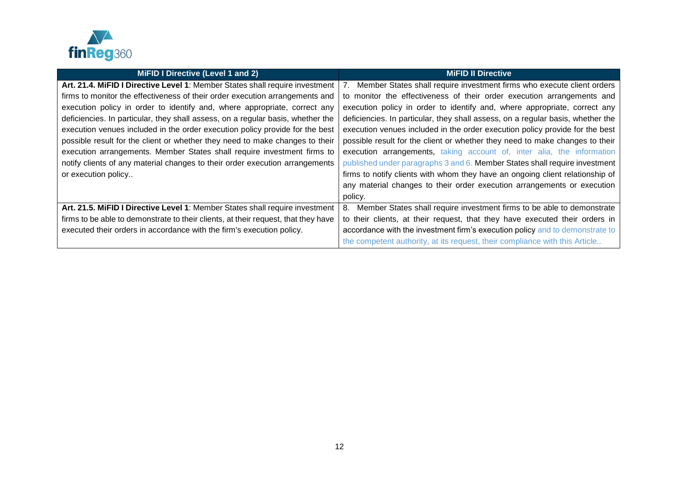

| MiFID I Directive (Level 1 and 2)                                                  | <b>MiFID II Directive</b>                                                       |
|------------------------------------------------------------------------------------|---------------------------------------------------------------------------------|
| Art. 21.4. MiFID I Directive Level 1: Member States shall require investment       | Member States shall require investment firms who execute client orders          |
| firms to monitor the effectiveness of their order execution arrangements and       | to monitor the effectiveness of their order execution arrangements and          |
| execution policy in order to identify and, where appropriate, correct any          | execution policy in order to identify and, where appropriate, correct any       |
| deficiencies. In particular, they shall assess, on a regular basis, whether the    | deficiencies. In particular, they shall assess, on a regular basis, whether the |
| execution venues included in the order execution policy provide for the best       | execution venues included in the order execution policy provide for the best    |
| possible result for the client or whether they need to make changes to their       | possible result for the client or whether they need to make changes to their    |
| execution arrangements. Member States shall require investment firms to            | execution arrangements, taking account of, inter alia, the information          |
| notify clients of any material changes to their order execution arrangements       | published under paragraphs 3 and 6. Member States shall require investment      |
| or execution policy                                                                | firms to notify clients with whom they have an ongoing client relationship of   |
|                                                                                    | any material changes to their order execution arrangements or execution         |
|                                                                                    | policy.                                                                         |
| Art. 21.5. MiFID I Directive Level 1: Member States shall require investment       | Member States shall require investment firms to be able to demonstrate<br>8.    |
| firms to be able to demonstrate to their clients, at their request, that they have | to their clients, at their request, that they have executed their orders in     |
| executed their orders in accordance with the firm's execution policy.              | accordance with the investment firm's execution policy and to demonstrate to    |
|                                                                                    | the competent authority, at its request, their compliance with this Article     |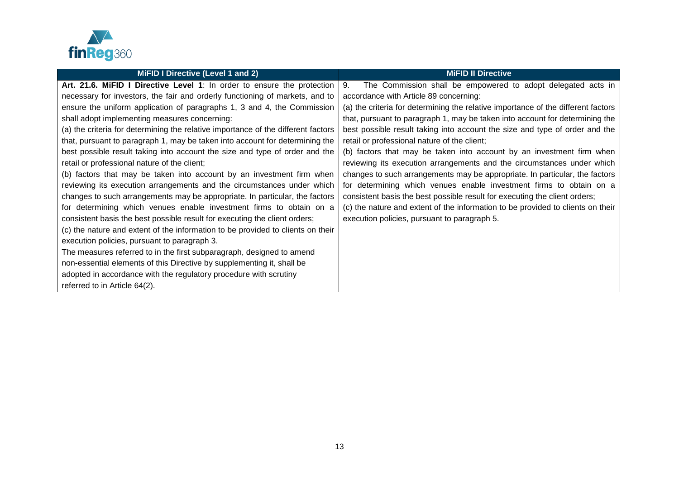

| MiFID I Directive (Level 1 and 2)                                                 | <b>MiFID II Directive</b>                                                         |
|-----------------------------------------------------------------------------------|-----------------------------------------------------------------------------------|
| Art. 21.6. MiFID I Directive Level 1: In order to ensure the protection           | The Commission shall be empowered to adopt delegated acts in<br>9.                |
| necessary for investors, the fair and orderly functioning of markets, and to      | accordance with Article 89 concerning:                                            |
| ensure the uniform application of paragraphs 1, 3 and 4, the Commission           | (a) the criteria for determining the relative importance of the different factors |
| shall adopt implementing measures concerning:                                     | that, pursuant to paragraph 1, may be taken into account for determining the      |
| (a) the criteria for determining the relative importance of the different factors | best possible result taking into account the size and type of order and the       |
| that, pursuant to paragraph 1, may be taken into account for determining the      | retail or professional nature of the client;                                      |
| best possible result taking into account the size and type of order and the       | (b) factors that may be taken into account by an investment firm when             |
| retail or professional nature of the client;                                      | reviewing its execution arrangements and the circumstances under which            |
| (b) factors that may be taken into account by an investment firm when             | changes to such arrangements may be appropriate. In particular, the factors       |
| reviewing its execution arrangements and the circumstances under which            | for determining which venues enable investment firms to obtain on a               |
| changes to such arrangements may be appropriate. In particular, the factors       | consistent basis the best possible result for executing the client orders;        |
| for determining which venues enable investment firms to obtain on a               | (c) the nature and extent of the information to be provided to clients on their   |
| consistent basis the best possible result for executing the client orders;        | execution policies, pursuant to paragraph 5.                                      |
| (c) the nature and extent of the information to be provided to clients on their   |                                                                                   |
| execution policies, pursuant to paragraph 3.                                      |                                                                                   |
| The measures referred to in the first subparagraph, designed to amend             |                                                                                   |
| non-essential elements of this Directive by supplementing it, shall be            |                                                                                   |
| adopted in accordance with the regulatory procedure with scrutiny                 |                                                                                   |
| referred to in Article 64(2).                                                     |                                                                                   |